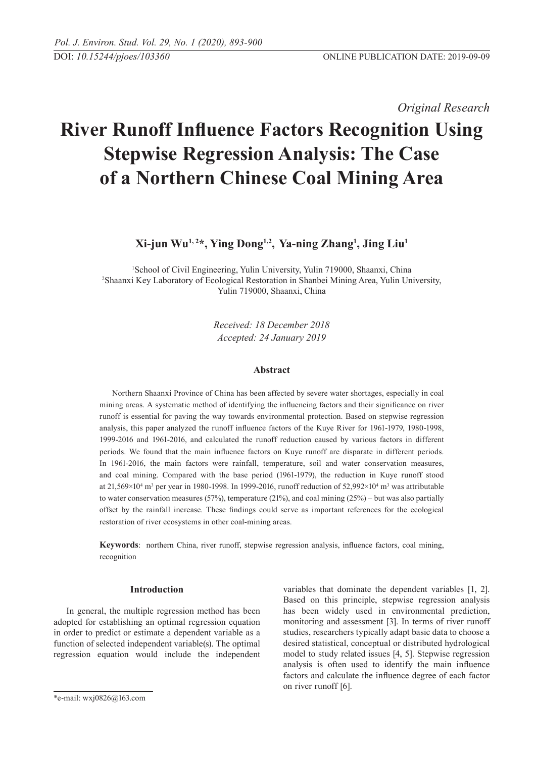*Original Research* 

# **River Runoff Influence Factors Recognition Using Stepwise Regression Analysis: The Case of a Northern Chinese Coal Mining Area**

**Xi-jun Wu1, 2\*, Ying Dong1,2, Ya-ning Zhang<sup>1</sup> , Jing Liu<sup>1</sup>**

1 School of Civil Engineering, Yulin University, Yulin 719000, Shaanxi, China 2 Shaanxi Key Laboratory of Ecological Restoration in Shanbei Mining Area, Yulin University, Yulin 719000, Shaanxi, China

> *Received: 18 December 2018 Accepted: 24 January 2019*

# **Abstract**

Northern Shaanxi Province of China has been affected by severe water shortages, especially in coal mining areas. A systematic method of identifying the influencing factors and their significance on river runoff is essential for paving the way towards environmental protection. Based on stepwise regression analysis, this paper analyzed the runoff influence factors of the Kuye River for 1961-1979, 1980-1998, 1999-2016 and 1961-2016, and calculated the runoff reduction caused by various factors in different periods. We found that the main influence factors on Kuye runoff are disparate in different periods. In 1961-2016, the main factors were rainfall, temperature, soil and water conservation measures, and coal mining. Compared with the base period (1961-1979), the reduction in Kuye runoff stood at  $21,569\times10^4$  m<sup>3</sup> per year in 1980-1998. In 1999-2016, runoff reduction of  $52,992\times10^4$  m<sup>3</sup> was attributable to water conservation measures (57%), temperature (21%), and coal mining (25%) – but was also partially offset by the rainfall increase. These findings could serve as important references for the ecological restoration of river ecosystems in other coal-mining areas.

**Keywords**: northern China, river runoff, stepwise regression analysis, influence factors, coal mining, recognition

# **Introduction**

In general, the multiple regression method has been adopted for establishing an optimal regression equation in order to predict or estimate a dependent variable as a function of selected independent variable(s). The optimal regression equation would include the independent variables that dominate the dependent variables [1, 2]. Based on this principle, stepwise regression analysis has been widely used in environmental prediction, monitoring and assessment [3]. In terms of river runoff studies, researchers typically adapt basic data to choose a desired statistical, conceptual or distributed hydrological model to study related issues [4, 5]. Stepwise regression analysis is often used to identify the main influence factors and calculate the influence degree of each factor on river runoff [6].

<sup>\*</sup>e-mail: wxj0826@163.com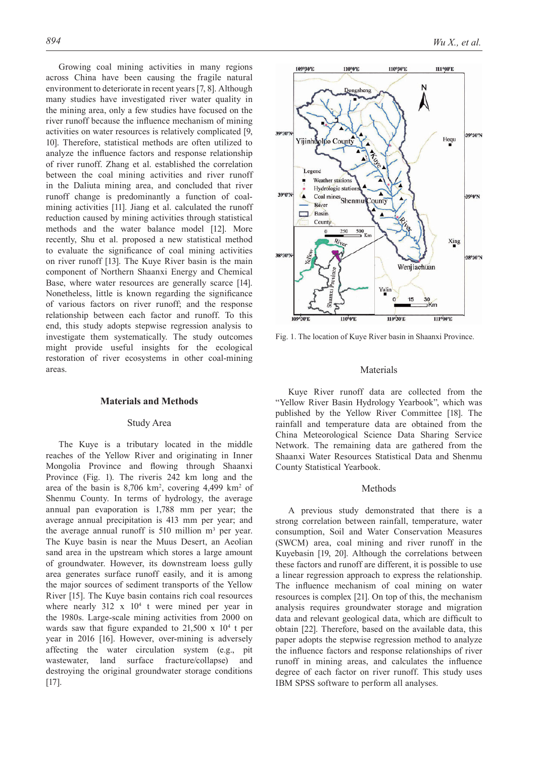Growing coal mining activities in many regions across China have been causing the fragile natural environment to deteriorate in recent years [7, 8]. Although many studies have investigated river water quality in the mining area, only a few studies have focused on the river runoff because the influence mechanism of mining activities on water resources is relatively complicated [9, 10]. Therefore, statistical methods are often utilized to analyze the influence factors and response relationship of river runoff. Zhang et al. established the correlation between the coal mining activities and river runoff in the Daliuta mining area, and concluded that river runoff change is predominantly a function of coalmining activities [11]. Jiang et al. calculated the runoff reduction caused by mining activities through statistical methods and the water balance model [12]. More recently, Shu et al. proposed a new statistical method to evaluate the significance of coal mining activities on river runoff [13]. The Kuye River basin is the main component of Northern Shaanxi Energy and Chemical Base, where water resources are generally scarce [14]. Nonetheless, little is known regarding the significance of various factors on river runoff; and the response relationship between each factor and runoff. To this end, this study adopts stepwise regression analysis to investigate them systematically. The study outcomes might provide useful insights for the ecological restoration of river ecosystems in other coal-mining areas.

# **Materials and Methods**

#### Study Area

The Kuye is a tributary located in the middle reaches of the Yellow River and originating in Inner Mongolia Province and flowing through Shaanxi Province (Fig. 1). The riveris 242 km long and the area of the basin is  $8,706 \text{ km}^2$ , covering  $4,499 \text{ km}^2$  of Shenmu County. In terms of hydrology, the average annual pan evaporation is 1,788 mm per year; the average annual precipitation is 413 mm per year; and the average annual runoff is  $510$  million m<sup>3</sup> per year. The Kuye basin is near the Muus Desert, an Aeolian sand area in the upstream which stores a large amount of groundwater. However, its downstream loess gully area generates surface runoff easily, and it is among the major sources of sediment transports of the Yellow River [15]. The Kuye basin contains rich coal resources where nearly  $312 \times 10^4$  t were mined per year in the 1980s. Large-scale mining activities from 2000 on wards saw that figure expanded to  $21,500 \times 10^4$  t per year in 2016 [16]. However, over-mining is adversely affecting the water circulation system (e.g., pit wastewater, land surface fracture/collapse) and destroying the original groundwater storage conditions [17].



Fig. 1. The location of Kuye River basin in Shaanxi Province.

# Materials

Kuye River runoff data are collected from the "Yellow River Basin Hydrology Yearbook", which was published by the Yellow River Committee [18]. The rainfall and temperature data are obtained from the China Meteorological Science Data Sharing Service Network. The remaining data are gathered from the Shaanxi Water Resources Statistical Data and Shenmu County Statistical Yearbook.

## Methods

A previous study demonstrated that there is a strong correlation between rainfall, temperature, water consumption, Soil and Water Conservation Measures (SWCM) area, coal mining and river runoff in the Kuyebasin [19, 20]. Although the correlations between these factors and runoff are different, it is possible to use a linear regression approach to express the relationship. The influence mechanism of coal mining on water resources is complex [21]. On top of this, the mechanism analysis requires groundwater storage and migration data and relevant geological data, which are difficult to obtain [22]. Therefore, based on the available data, this paper adopts the stepwise regression method to analyze the influence factors and response relationships of river runoff in mining areas, and calculates the influence degree of each factor on river runoff. This study uses IBM SPSS software to perform all analyses.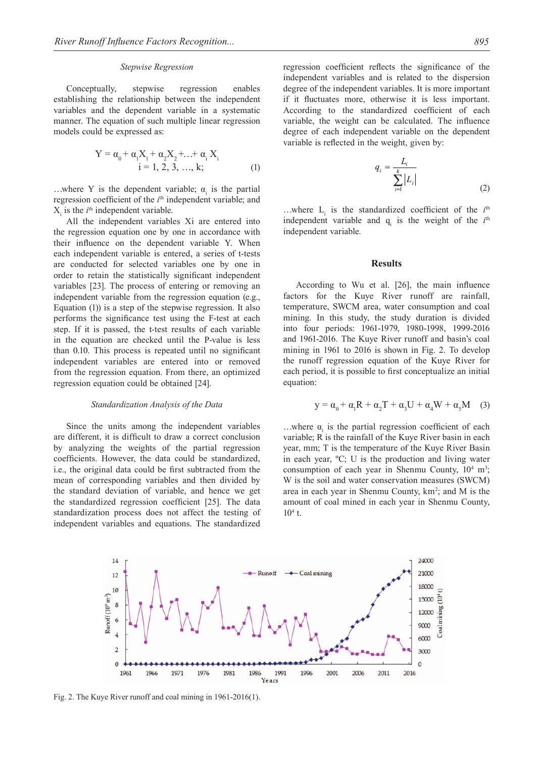#### *Stepwise Regression*

Conceptually, stepwise regression enables establishing the relationship between the independent variables and the dependent variable in a systematic manner. The equation of such multiple linear regression models could be expressed as:

$$
Y = \alpha_0 + \alpha_1 X_1 + \alpha_2 X_2 + \dots + \alpha_i X_i
$$
  
i = 1, 2, 3, ..., k; (1)

...where Y is the dependent variable;  $\alpha_i$  is the partial regression coefficient of the *i*<sup>th</sup> independent variable; and  $X_i$  is the  $i^{\text{th}}$  independent variable.

All the independent variables Xi are entered into the regression equation one by one in accordance with their influence on the dependent variable Y. When each independent variable is entered, a series of t-tests are conducted for selected variables one by one in order to retain the statistically significant independent variables [23]. The process of entering or removing an independent variable from the regression equation (e.g., Equation (1)) is a step of the stepwise regression. It also performs the significance test using the F-test at each step. If it is passed, the t-test results of each variable in the equation are checked until the P-value is less than 0.10. This process is repeated until no significant independent variables are entered into or removed from the regression equation. From there, an optimized regression equation could be obtained [24].

#### *Standardization Analysis of the Data*

Since the units among the independent variables are different, it is difficult to draw a correct conclusion by analyzing the weights of the partial regression coefficients. However, the data could be standardized, i.e., the original data could be first subtracted from the mean of corresponding variables and then divided by the standard deviation of variable, and hence we get the standardized regression coefficient [25]. The data standardization process does not affect the testing of independent variables and equations. The standardized regression coefficient reflects the significance of the independent variables and is related to the dispersion degree of the independent variables. It is more important if it fluctuates more, otherwise it is less important. According to the standardized coefficient of each variable, the weight can be calculated. The influence degree of each independent variable on the dependent variable is reflected in the weight, given by:

$$
q_i = \frac{L_i}{\sum_{i=1}^k |L_i|} \tag{2}
$$

...where  $L_i$  is the standardized coefficient of the  $i<sup>th</sup>$ independent variable and  $q_i$  is the weight of the  $i<sup>th</sup>$ independent variable.

## **Results**

According to Wu et al. [26], the main influence factors for the Kuye River runoff are rainfall, temperature, SWCM area, water consumption and coal mining. In this study, the study duration is divided into four periods: 1961-1979, 1980-1998, 1999-2016 and 1961-2016. The Kuye River runoff and basin's coal mining in 1961 to 2016 is shown in Fig. 2. To develop the runoff regression equation of the Kuye River for each period, it is possible to first conceptualize an initial equation:

$$
y = \alpha_0 + \alpha_1 R + \alpha_2 T + \alpha_3 U + \alpha_4 W + \alpha_5 M \quad (3)
$$

...where  $\alpha_i$  is the partial regression coefficient of each variable; R is the rainfall of the Kuye River basin in each year, mm; T is the temperature of the Kuye River Basin in each year, ºC; U is the production and living water consumption of each year in Shenmu County,  $10^4$  m<sup>3</sup>; W is the soil and water conservation measures (SWCM) area in each year in Shenmu County,  $km^2$ ; and M is the amount of coal mined in each year in Shenmu County,  $10^4$  t.



Fig. 2. The Kuye River runoff and coal mining in 1961-2016(1).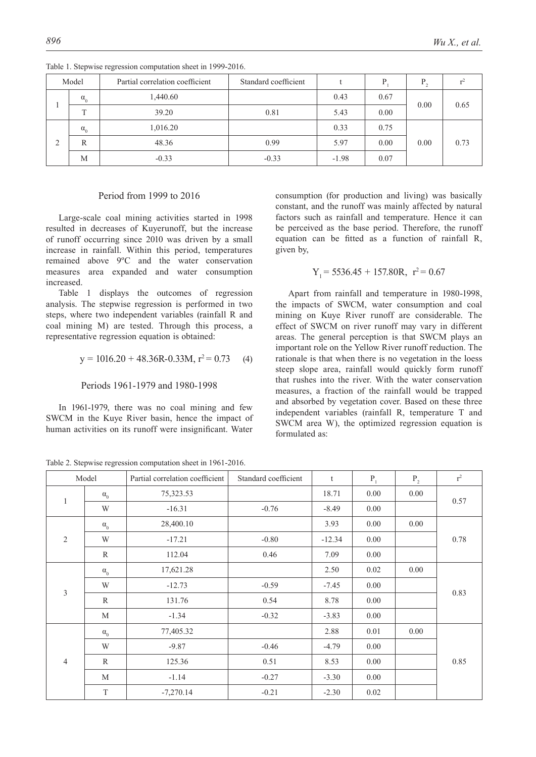| Model |              | Partial correlation coefficient | Standard coefficient |         | D    | D    |      |
|-------|--------------|---------------------------------|----------------------|---------|------|------|------|
|       | $\alpha_{0}$ | 1,440.60                        |                      | 0.43    | 0.67 | 0.00 | 0.65 |
|       | m            | 39.20                           | 0.81                 | 5.43    | 0.00 |      |      |
| ◠     | $\alpha_{0}$ | 1,016.20                        |                      | 0.33    | 0.75 |      | 0.73 |
|       | R            | 48.36                           | 0.99                 | 5.97    | 0.00 | 0.00 |      |
|       | M            | $-0.33$                         | $-0.33$              | $-1.98$ | 0.07 |      |      |

Table 1. Stepwise regression computation sheet in 1999-2016.

# Period from 1999 to 2016

Large-scale coal mining activities started in 1998 resulted in decreases of Kuyerunoff, but the increase of runoff occurring since 2010 was driven by a small increase in rainfall. Within this period, temperatures remained above 9ºC and the water conservation measures area expanded and water consumption increased.

Table 1 displays the outcomes of regression analysis. The stepwise regression is performed in two steps, where two independent variables (rainfall R and coal mining M) are tested. Through this process, a representative regression equation is obtained:

$$
y = 1016.20 + 48.36R - 0.33M, r^2 = 0.73
$$
 (4)

Periods 1961-1979 and 1980-1998

In 1961-1979, there was no coal mining and few SWCM in the Kuye River basin, hence the impact of human activities on its runoff were insignificant. Water

Table 2. Stepwise regression computation sheet in 1961-2016.

consumption (for production and living) was basically constant, and the runoff was mainly affected by natural factors such as rainfall and temperature. Hence it can be perceived as the base period. Therefore, the runoff equation can be fitted as a function of rainfall R, given by,

$$
Y_1 = 5536.45 + 157.80R, r^2 = 0.67
$$

Apart from rainfall and temperature in 1980-1998, the impacts of SWCM, water consumption and coal mining on Kuye River runoff are considerable. The effect of SWCM on river runoff may vary in different areas. The general perception is that SWCM plays an important role on the Yellow River runoff reduction. The rationale is that when there is no vegetation in the loess steep slope area, rainfall would quickly form runoff that rushes into the river. With the water conservation measures, a fraction of the rainfall would be trapped and absorbed by vegetation cover. Based on these three independent variables (rainfall R, temperature T and SWCM area W), the optimized regression equation is formulated as:

| Model          |              | Partial correlation coefficient | Standard coefficient | t        | $P_1$ | $P_{2}$ | $r^2$ |  |
|----------------|--------------|---------------------------------|----------------------|----------|-------|---------|-------|--|
| $\mathbf{1}$   | $\alpha_0$   | 75,323.53                       |                      | 18.71    | 0.00  | 0.00    | 0.57  |  |
|                | W            | $-16.31$                        | $-0.76$              | $-8.49$  | 0.00  |         |       |  |
| $\overline{2}$ | $\alpha_{0}$ | 28,400.10                       |                      | 3.93     | 0.00  | 0.00    | 0.78  |  |
|                | W            | $-17.21$                        | $-0.80$              | $-12.34$ | 0.00  |         |       |  |
|                | R            | 112.04                          | 0.46                 | 7.09     | 0.00  |         |       |  |
|                | $\alpha_0$   | 17,621.28                       |                      | 2.50     | 0.02  | 0.00    |       |  |
| $\mathfrak{Z}$ | W            | $-12.73$                        | $-0.59$              | $-7.45$  | 0.00  |         | 0.83  |  |
|                | $\mathbb{R}$ | 131.76                          | 0.54                 | 8.78     | 0.00  |         |       |  |
|                | M            | $-1.34$                         | $-0.32$              | $-3.83$  | 0.00  |         |       |  |
|                | $\alpha_0$   | 77,405.32                       |                      | 2.88     | 0.01  | 0.00    |       |  |
|                | W            | $-9.87$                         | $-0.46$              | $-4.79$  | 0.00  |         |       |  |
| $\overline{4}$ | $\mathbb{R}$ | 125.36                          | 0.51                 | 8.53     | 0.00  |         | 0.85  |  |
|                | M            | $-1.14$                         | $-0.27$              | $-3.30$  | 0.00  |         |       |  |
|                | T            | $-7,270.14$                     | $-0.21$              | $-2.30$  | 0.02  |         |       |  |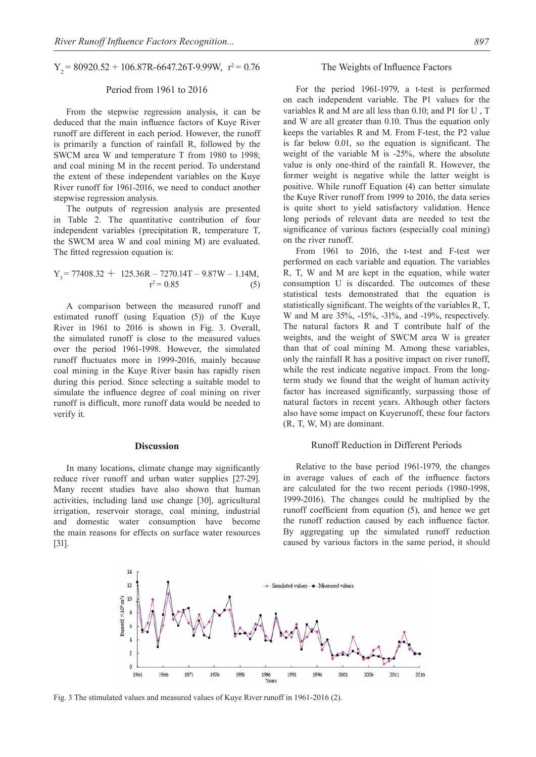$Y_2 = 80920.52 + 106.87R - 6647.26T - 9.99W$ ,  $r^2 = 0.76$ 

## Period from 1961 to 2016

From the stepwise regression analysis, it can be deduced that the main influence factors of Kuye River runoff are different in each period. However, the runoff is primarily a function of rainfall R, followed by the SWCM area W and temperature T from 1980 to 1998; and coal mining M in the recent period. To understand the extent of these independent variables on the Kuye River runoff for 1961-2016, we need to conduct another stepwise regression analysis.

The outputs of regression analysis are presented in Table 2. The quantitative contribution of four independent variables (precipitation R, temperature T, the SWCM area W and coal mining M) are evaluated. The fitted regression equation is:

$$
Y_3 = 77408.32 + 125.36R - 7270.14T - 9.87W - 1.14M,
$$
  

$$
r^2 = 0.85
$$
 (5)

A comparison between the measured runoff and estimated runoff (using Equation (5)) of the Kuye River in 1961 to 2016 is shown in Fig. 3. Overall, the simulated runoff is close to the measured values over the period 1961-1998. However, the simulated runoff fluctuates more in 1999-2016, mainly because coal mining in the Kuye River basin has rapidly risen during this period. Since selecting a suitable model to simulate the influence degree of coal mining on river runoff is difficult, more runoff data would be needed to verify it.

#### **Discussion**

In many locations, climate change may significantly reduce river runoff and urban water supplies [27-29]. Many recent studies have also shown that human activities, including land use change [30], agricultural irrigation, reservoir storage, coal mining, industrial and domestic water consumption have become the main reasons for effects on surface water resources [31].

#### The Weights of Influence Factors

For the period 1961-1979, a t-test is performed on each independent variable. The P1 values for the variables R and M are all less than 0.10; and P1 for U , T and W are all greater than 0.10. Thus the equation only keeps the variables R and M. From F-test, the P2 value is far below 0.01, so the equation is significant. The weight of the variable M is -25%, where the absolute value is only one-third of the rainfall R. However, the former weight is negative while the latter weight is positive. While runoff Equation (4) can better simulate the Kuye River runoff from 1999 to 2016, the data series is quite short to yield satisfactory validation. Hence long periods of relevant data are needed to test the significance of various factors (especially coal mining) on the river runoff.

From 1961 to 2016, the t-test and F-test wer performed on each variable and equation. The variables R, T, W and M are kept in the equation, while water consumption U is discarded. The outcomes of these statistical tests demonstrated that the equation is statistically significant. The weights of the variables R, T, W and M are 35%, -15%, -31%, and -19%, respectively. The natural factors R and T contribute half of the weights, and the weight of SWCM area W is greater than that of coal mining M. Among these variables, only the rainfall R has a positive impact on river runoff, while the rest indicate negative impact. From the longterm study we found that the weight of human activity factor has increased significantly, surpassing those of natural factors in recent years. Although other factors also have some impact on Kuyerunoff, these four factors (R, T, W, M) are dominant.

## Runoff Reduction in Different Periods

Relative to the base period 1961-1979, the changes in average values of each of the influence factors are calculated for the two recent periods (1980-1998, 1999-2016). The changes could be multiplied by the runoff coefficient from equation (5), and hence we get the runoff reduction caused by each influence factor. By aggregating up the simulated runoff reduction caused by various factors in the same period, it should



Fig. 3 The stimulated values and measured values of Kuye River runoff in 1961-2016 (2).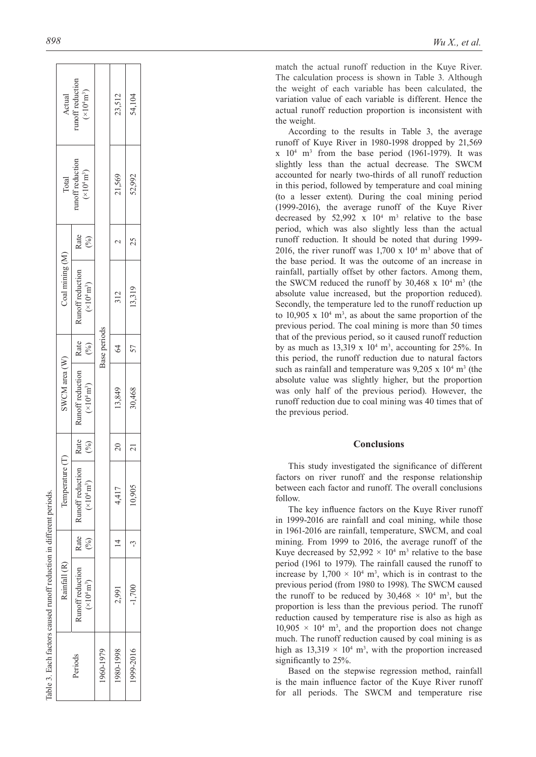|                                                                     |                 | Actual<br>runoff reduction<br>$(\times 10^4 \text{ m}^3)$ | Base periods | 23,512    | 54,104          |
|---------------------------------------------------------------------|-----------------|-----------------------------------------------------------|--------------|-----------|-----------------|
|                                                                     | Total           | runoff reduction<br>$(\times 10^4 \text{ m}^3)$           |              | 21,569    | 52,992          |
|                                                                     | Coal mining (M) | Rate<br>(%)                                               |              |           | 25              |
|                                                                     |                 | Runoff reduction<br>$(\times 10^4 \text{ m}^3)$           |              | 312       | 13,319          |
|                                                                     |                 | $\cdot$ Rate $\cdot$<br>(%)                               |              | 34        | 57              |
|                                                                     | SWCM area (W)   | Runoff reduction<br>$(\times 10^4\, \rm m^3)$             |              | 13,849    | 30,468          |
|                                                                     |                 | Rate<br>(%)                                               |              | $\approx$ | $\overline{21}$ |
|                                                                     | Temperature (T) | <b>Runoff</b> reduction<br>$(\times 10^4 \,\rm m^3)$      |              | 4,417     | 10.905          |
|                                                                     |                 | Rate  <br>$(\%)$                                          |              |           |                 |
| Table 3. Each factors caused runoff reduction in different periods. | Rainfall (R)    | Runoff reduction<br>$({\times}10^{4}\,\rm{m}^{3})$        |              | 2,991     | $-1,700$        |
|                                                                     |                 | Periods                                                   | 1960-1979    | 1980-1998 | 1999-2016       |

match the actual runoff reduction in the Kuye River. The calculation process is shown in Table 3. Although the weight of each variable has been calculated, the variation value of each variable is different. Hence the actual runoff reduction proportion is inconsistent with the weight .

According to the results in Table 3, the average runoff of Kuye River in 1980-1998 dropped by 21,569  $x \neq 10^4$  m<sup>3</sup> from the base period (1961-1979). It was slightly less than the actual decrease. The SWCM accounted for nearly two-thirds of all runoff reduction in this period, followed by temperature and coal mining (to a lesser extent). During the coal mining period (1999-2016), the average runoff of the Kuye River decreased by  $52,992 \times 10^4 \text{ m}^3$  relative to the base period, which was also slightly less than the actual runoff reduction. It should be noted that during 1999- 2016, the river runoff was  $1,700 \times 10^4$  m<sup>3</sup> above that of the base period. It was the outcome of an increase in rainfall, partially offset by other factors. Among them, the SWCM reduced the runoff by  $30,468 \times 10^4$  m<sup>3</sup> (the absolute value increased, but the proportion reduced). Secondly, the temperature led to the runoff reduction up to  $10,905 \times 10^4$  m<sup>3</sup>, as about the same proportion of the previous period. The coal mining is more than 50 times that of the previous period, so it caused runoff reduction by as much as  $13,319 \times 10^4$  m<sup>3</sup>, accounting for 25%. In this period, the runoff reduction due to natural factors such as rainfall and temperature was  $9,205 \times 10^4$  m<sup>3</sup> (the absolute value was slightly higher, but the proportion was only half of the previous period). However, the runoff reduction due to coal mining was 40 times that of the previous period.

# **Conclusions**

This study investigated the significance of different factors on river runoff and the response relationship between each factor and runoff. The overall conclusions follow.

The key influence factors on the Kuye River runoff in 1999-2016 are rainfall and coal mining, while those in 1961-2016 are rainfall, temperature, SWCM, and coal mining. From 1999 to 2016, the average runoff of the Kuye decreased by  $52,992 \times 10^4$  m<sup>3</sup> relative to the base period (1961 to 1979). The rainfall caused the runoff to increase by  $1,700 \times 10^4$  m<sup>3</sup>, which is in contrast to the previous period (from 1980 to 1998). The SWCM caused the runoff to be reduced by  $30,468 \times 10^4$  m<sup>3</sup>, but the proportion is less than the previous period. The runoff reduction caused by temperature rise is also as high as  $10,905 \times 10^4$  m<sup>3</sup>, and the proportion does not change much. The runoff reduction caused by coal mining is as high as  $13,319 \times 10^4$  m<sup>3</sup>, with the proportion increased significantly to 25%.

Based on the stepwise regression method, rainfall is the main influence factor of the Kuye River runoff for all periods. The SWCM and temperature rise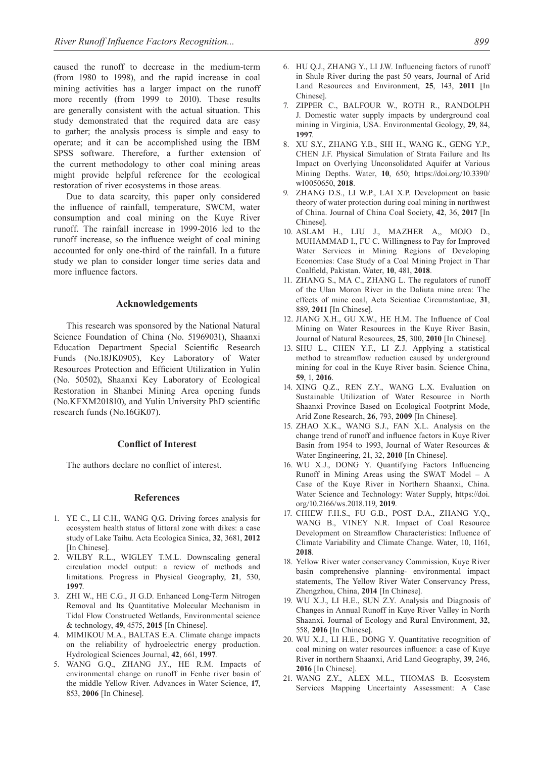caused the runoff to decrease in the medium-term (from 1980 to 1998), and the rapid increase in coal mining activities has a larger impact on the runoff more recently (from 1999 to 2010). These results are generally consistent with the actual situation. This study demonstrated that the required data are easy to gather; the analysis process is simple and easy to operate; and it can be accomplished using the IBM SPSS software. Therefore, a further extension of the current methodology to other coal mining areas might provide helpful reference for the ecological restoration of river ecosystems in those areas.

Due to data scarcity, this paper only considered the influence of rainfall, temperature, SWCM, water consumption and coal mining on the Kuye River runoff. The rainfall increase in 1999-2016 led to the runoff increase, so the influence weight of coal mining accounted for only one-third of the rainfall. In a future study we plan to consider longer time series data and more influence factors.

## **Acknowledgements**

This research was sponsored by the National Natural Science Foundation of China (No. 51969031), Shaanxi Education Department Special Scientific Research Funds (No.18JK0905), Key Laboratory of Water Resources Protection and Efficient Utilization in Yulin (No. 50502), Shaanxi Key Laboratory of Ecological Restoration in Shanbei Mining Area opening funds (No.KFXM201810), and Yulin University PhD scientific research funds (No.16GK07).

#### **Conflict of Interest**

The authors declare no conflict of interest.

# **References**

- 1. YE C., LI C.H., WANG Q.G. Driving forces analysis for ecosystem health status of littoral zone with dikes: a case study of Lake Taihu. Acta Ecologica Sinica, **32**, 3681, **2012** [In Chinese].
- 2. WILBY R.L., WIGLEY T.M.L. Downscaling general circulation model output: a review of methods and limitations. Progress in Physical Geography, **21**, 530, **1997**.
- 3. ZHI W., HE C.G., JI G.D. Enhanced Long-Term Nitrogen Removal and Its Quantitative Molecular Mechanism in Tidal Flow Constructed Wetlands, Environmental science & technology, **49**, 4575, **2015** [In Chinese].
- 4. MIMIKOU M.A., BALTAS E.A. Climate change impacts on the reliability of hydroelectric energy production. Hydrological Sciences Journal, **42**, 661, **1997**.
- 5. WANG G.Q., ZHANG J.Y., HE R.M. Impacts of environmental change on runoff in Fenhe river basin of the middle Yellow River. Advances in Water Science, **17**, 853, **2006** [In Chinese].
- 6. HU Q.J., ZHANG Y., LI J.W. Influencing factors of runoff in Shule River during the past 50 years, Journal of Arid Land Resources and Environment, **25**, 143, **2011** [In Chinese].
- 7. ZIPPER C., BALFOUR W., ROTH R., RANDOLPH J. Domestic water supply impacts by underground coal mining in Virginia, USA. Environmental Geology, **29**, 84, **1997**.
- 8. XU S.Y., ZHANG Y.B., SHI H., WANG K., GENG Y.P., CHEN J.F. Physical Simulation of Strata Failure and Its Impact on Overlying Unconsolidated Aquifer at Various Mining Depths. Water, **10**, 650; https://doi.org/10.3390/ w10050650, **2018**.
- 9. ZHANG D.S., LI W.P., LAI X.P. Development on basic theory of water protection during coal mining in northwest of China. Journal of China Coal Society, **42**, 36, **2017** [In Chinese].
- 10. ASLAM H., LIU J., MAZHER A,, MOJO D., MUHAMMAD I., FU C. Willingness to Pay for Improved Water Services in Mining Regions of Developing Economies: Case Study of a Coal Mining Project in Thar Coalfield, Pakistan. Water, **10**, 481, **2018**.
- 11. ZHANG S., MA C., ZHANG L. The regulators of runoff of the Ulan Moron River in the Daliuta mine area: The effects of mine coal, Acta Scientiae Circumstantiae, **31**, 889, **2011** [In Chinese].
- 12. JIANG X.H., GU X.W., HE H.M. The Influence of Coal Mining on Water Resources in the Kuye River Basin, Journal of Natural Resources, **25**, 300, **2010** [In Chinese].
- 13. SHU L., CHEN Y.F., LI Z.J. Applying a statistical method to streamflow reduction caused by underground mining for coal in the Kuye River basin. Science China, **59**, 1, **2016**.
- 14. XING Q.Z., REN Z.Y., WANG L.X. Evaluation on Sustainable Utilization of Water Resource in North Shaanxi Province Based on Ecological Footprint Mode, Arid Zone Research, **26**, 793, **2009** [In Chinese].
- 15. ZHAO X.K., WANG S.J., FAN X.L. Analysis on the change trend of runoff and influence factors in Kuye River Basin from 1954 to 1993, Journal of Water Resources & Water Engineering, 21, 32, **2010** [In Chinese].
- 16. WU X.J., DONG Y. Quantifying Factors Influencing Runoff in Mining Areas using the SWAT Model – A Case of the Kuye River in Northern Shaanxi, China. Water Science and Technology: Water Supply, https://doi. org/10.2166/ws.2018.119, **2019**.
- 17. CHIEW F.H.S., FU G.B., POST D.A., ZHANG Y.Q., WANG B., VINEY N.R. Impact of Coal Resource Development on Streamflow Characteristics: Influence of Climate Variability and Climate Change. Water, 10, 1161, **2018**.
- 18. Yellow River water conservancy Commission, Kuye River basin comprehensive planning- environmental impact statements, The Yellow River Water Conservancy Press, Zhengzhou, China, **2014** [In Chinese].
- 19. WU X.J., LI H.E., SUN Z.Y. Analysis and Diagnosis of Changes in Annual Runoff in Kuye River Valley in North Shaanxi. Journal of Ecology and Rural Environment, **32**, 558, **2016** [In Chinese].
- 20. WU X.J., LI H.E., DONG Y. Quantitative recognition of coal mining on water resources influence: a case of Kuye River in northern Shaanxi, Arid Land Geography, **39**, 246, **2016** [In Chinese].
- 21. WANG Z.Y., ALEX M.L., THOMAS B. Ecosystem Services Mapping Uncertainty Assessment: A Case